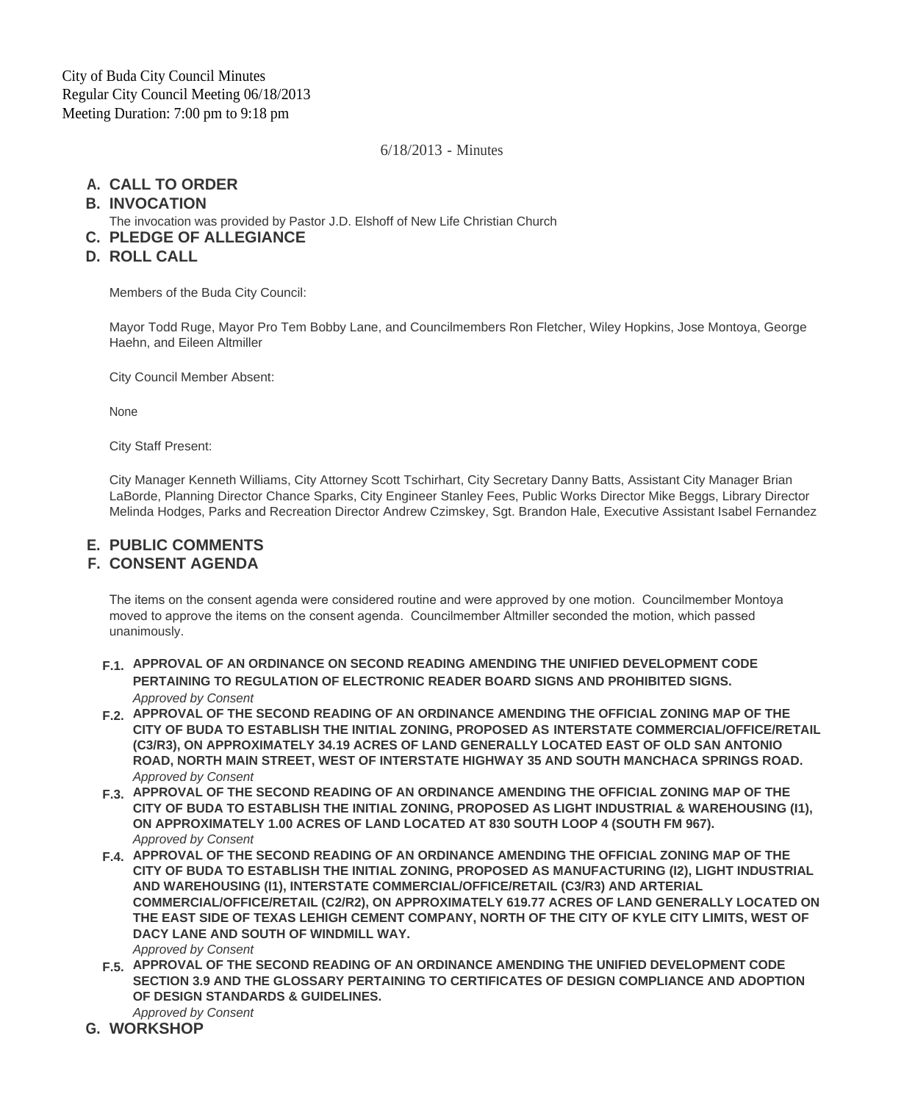6/18/2013 - Minutes

# **CALL TO ORDER A.**

# **INVOCATION B.**

The invocation was provided by Pastor J.D. Elshoff of New Life Christian Church

**PLEDGE OF ALLEGIANCE C.**

# **ROLL CALL D.**

Members of the Buda City Council:

Mayor Todd Ruge, Mayor Pro Tem Bobby Lane, and Councilmembers Ron Fletcher, Wiley Hopkins, Jose Montoya, George Haehn, and Eileen Altmiller

City Council Member Absent:

None

City Staff Present:

City Manager Kenneth Williams, City Attorney Scott Tschirhart, City Secretary Danny Batts, Assistant City Manager Brian LaBorde, Planning Director Chance Sparks, City Engineer Stanley Fees, Public Works Director Mike Beggs, Library Director Melinda Hodges, Parks and Recreation Director Andrew Czimskey, Sgt. Brandon Hale, Executive Assistant Isabel Fernandez

# **PUBLIC COMMENTS E.**

# **CONSENT AGENDA F.**

The items on the consent agenda were considered routine and were approved by one motion. Councilmember Montoya moved to approve the items on the consent agenda. Councilmember Altmiller seconded the motion, which passed unanimously.

- **APPROVAL OF AN ORDINANCE ON SECOND READING AMENDING THE UNIFIED DEVELOPMENT CODE F.1. PERTAINING TO REGULATION OF ELECTRONIC READER BOARD SIGNS AND PROHIBITED SIGNS.** *Approved by Consent*
- **APPROVAL OF THE SECOND READING OF AN ORDINANCE AMENDING THE OFFICIAL ZONING MAP OF THE F.2. CITY OF BUDA TO ESTABLISH THE INITIAL ZONING, PROPOSED AS INTERSTATE COMMERCIAL/OFFICE/RETAIL (C3/R3), ON APPROXIMATELY 34.19 ACRES OF LAND GENERALLY LOCATED EAST OF OLD SAN ANTONIO ROAD, NORTH MAIN STREET, WEST OF INTERSTATE HIGHWAY 35 AND SOUTH MANCHACA SPRINGS ROAD.**  *Approved by Consent*
- **APPROVAL OF THE SECOND READING OF AN ORDINANCE AMENDING THE OFFICIAL ZONING MAP OF THE F.3. CITY OF BUDA TO ESTABLISH THE INITIAL ZONING, PROPOSED AS LIGHT INDUSTRIAL & WAREHOUSING (I1), ON APPROXIMATELY 1.00 ACRES OF LAND LOCATED AT 830 SOUTH LOOP 4 (SOUTH FM 967).**  *Approved by Consent*
- **APPROVAL OF THE SECOND READING OF AN ORDINANCE AMENDING THE OFFICIAL ZONING MAP OF THE F.4. CITY OF BUDA TO ESTABLISH THE INITIAL ZONING, PROPOSED AS MANUFACTURING (I2), LIGHT INDUSTRIAL AND WAREHOUSING (I1), INTERSTATE COMMERCIAL/OFFICE/RETAIL (C3/R3) AND ARTERIAL COMMERCIAL/OFFICE/RETAIL (C2/R2), ON APPROXIMATELY 619.77 ACRES OF LAND GENERALLY LOCATED ON THE EAST SIDE OF TEXAS LEHIGH CEMENT COMPANY, NORTH OF THE CITY OF KYLE CITY LIMITS, WEST OF DACY LANE AND SOUTH OF WINDMILL WAY.**  *Approved by Consent*
- **APPROVAL OF THE SECOND READING OF AN ORDINANCE AMENDING THE UNIFIED DEVELOPMENT CODE F.5. SECTION 3.9 AND THE GLOSSARY PERTAINING TO CERTIFICATES OF DESIGN COMPLIANCE AND ADOPTION OF DESIGN STANDARDS & GUIDELINES.**  *Approved by Consent*

**WORKSHOP G.**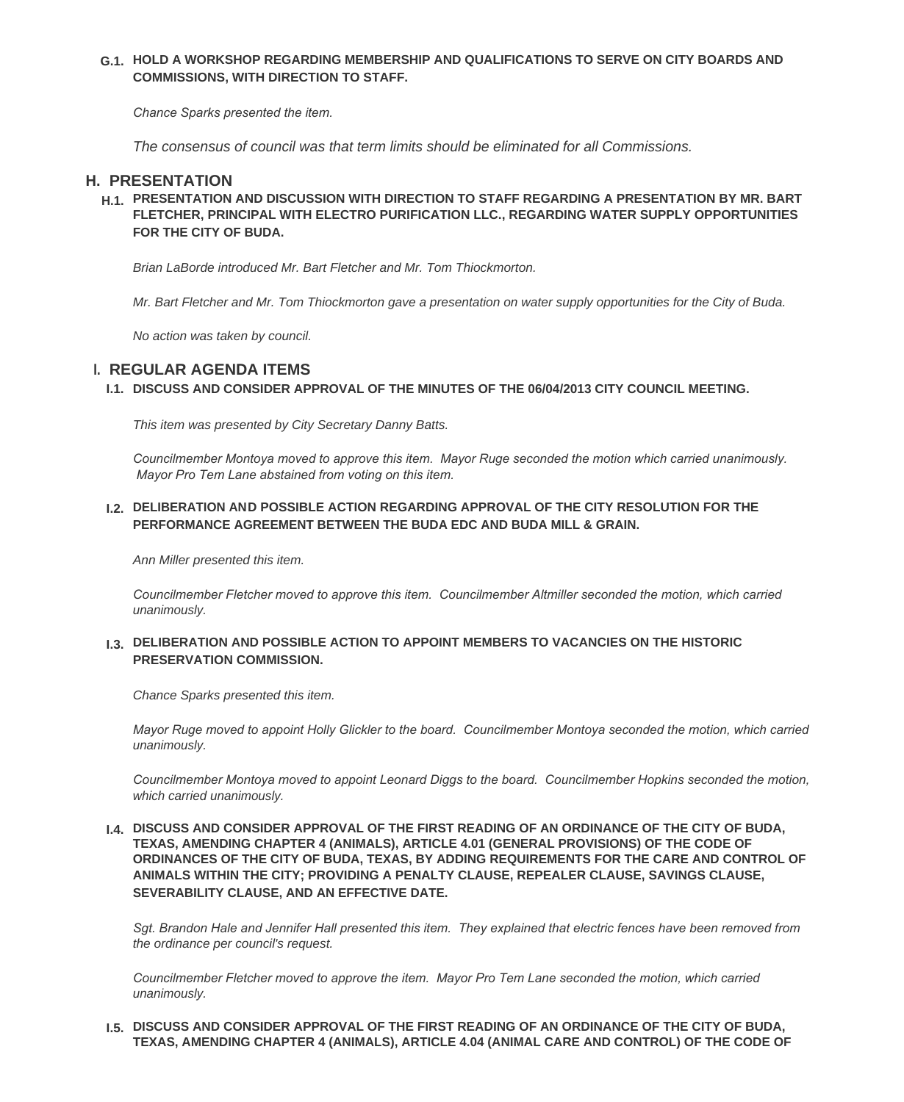### **HOLD A WORKSHOP REGARDING MEMBERSHIP AND QUALIFICATIONS TO SERVE ON CITY BOARDS AND G.1. COMMISSIONS, WITH DIRECTION TO STAFF.**

*Chance Sparks presented the item.* 

*The consensus of council was that term limits should be eliminated for all Commissions.*

# **PRESENTATION H.**

**PRESENTATION AND DISCUSSION WITH DIRECTION TO STAFF REGARDING A PRESENTATION BY MR. BART H.1. FLETCHER, PRINCIPAL WITH ELECTRO PURIFICATION LLC., REGARDING WATER SUPPLY OPPORTUNITIES FOR THE CITY OF BUDA.**

*Brian LaBorde introduced Mr. Bart Fletcher and Mr. Tom Thiockmorton.*

*Mr. Bart Fletcher and Mr. Tom Thiockmorton gave a presentation on water supply opportunities for the City of Buda.*

*No action was taken by council.*

## **REGULAR AGENDA ITEMS I.**

**DISCUSS AND CONSIDER APPROVAL OF THE MINUTES OF THE 06/04/2013 CITY COUNCIL MEETING. I.1.**

*This item was presented by City Secretary Danny Batts.*

*Councilmember Montoya moved to approve this item. Mayor Ruge seconded the motion which carried unanimously. Mayor Pro Tem Lane abstained from voting on this item.*

### **DELIBERATION AND POSSIBLE ACTION REGARDING APPROVAL OF THE CITY RESOLUTION FOR THE I.2. PERFORMANCE AGREEMENT BETWEEN THE BUDA EDC AND BUDA MILL & GRAIN.**

*Ann Miller presented this item.*

*Councilmember Fletcher moved to approve this item. Councilmember Altmiller seconded the motion, which carried unanimously.*

#### **DELIBERATION AND POSSIBLE ACTION TO APPOINT MEMBERS TO VACANCIES ON THE HISTORIC I.3. PRESERVATION COMMISSION.**

*Chance Sparks presented this item.*

*Mayor Ruge moved to appoint Holly Glickler to the board. Councilmember Montoya seconded the motion, which carried unanimously.*

*Councilmember Montoya moved to appoint Leonard Diggs to the board. Councilmember Hopkins seconded the motion, which carried unanimously.*

**DISCUSS AND CONSIDER APPROVAL OF THE FIRST READING OF AN ORDINANCE OF THE CITY OF BUDA, I.4. TEXAS, AMENDING CHAPTER 4 (ANIMALS), ARTICLE 4.01 (GENERAL PROVISIONS) OF THE CODE OF ORDINANCES OF THE CITY OF BUDA, TEXAS, BY ADDING REQUIREMENTS FOR THE CARE AND CONTROL OF ANIMALS WITHIN THE CITY; PROVIDING A PENALTY CLAUSE, REPEALER CLAUSE, SAVINGS CLAUSE, SEVERABILITY CLAUSE, AND AN EFFECTIVE DATE.**

*Sgt. Brandon Hale and Jennifer Hall presented this item. They explained that electric fences have been removed from the ordinance per council's request.*

*Councilmember Fletcher moved to approve the item. Mayor Pro Tem Lane seconded the motion, which carried unanimously.*

**DISCUSS AND CONSIDER APPROVAL OF THE FIRST READING OF AN ORDINANCE OF THE CITY OF BUDA, I.5. TEXAS, AMENDING CHAPTER 4 (ANIMALS), ARTICLE 4.04 (ANIMAL CARE AND CONTROL) OF THE CODE OF**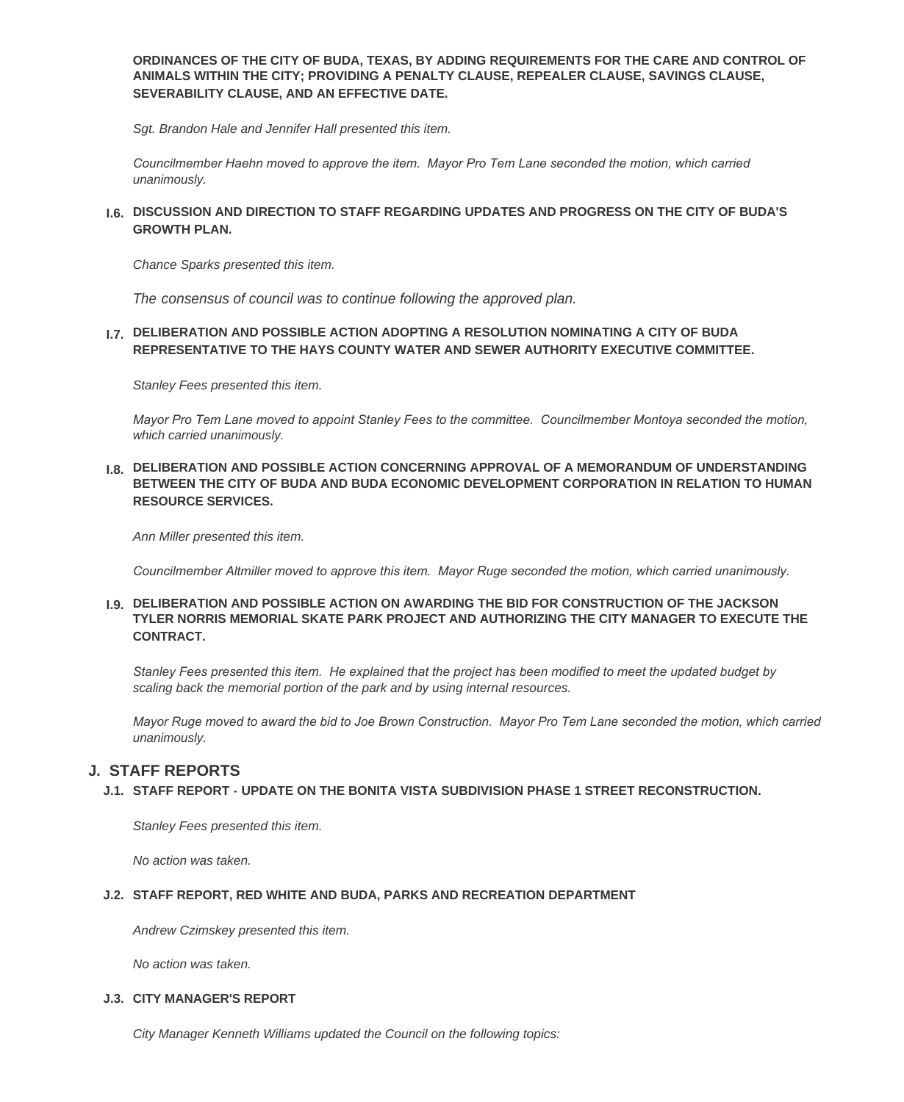**ORDINANCES OF THE CITY OF BUDA, TEXAS, BY ADDING REQUIREMENTS FOR THE CARE AND CONTROL OF ANIMALS WITHIN THE CITY; PROVIDING A PENALTY CLAUSE, REPEALER CLAUSE, SAVINGS CLAUSE, SEVERABILITY CLAUSE, AND AN EFFECTIVE DATE.**

*Sgt. Brandon Hale and Jennifer Hall presented this item.*

*Councilmember Haehn moved to approve the item. Mayor Pro Tem Lane seconded the motion, which carried unanimously.*

### **DISCUSSION AND DIRECTION TO STAFF REGARDING UPDATES AND PROGRESS ON THE CITY OF BUDA'S I.6. GROWTH PLAN.**

*Chance Sparks presented this item.*

*The consensus of council was to continue following the approved plan.*

### **DELIBERATION AND POSSIBLE ACTION ADOPTING A RESOLUTION NOMINATING A CITY OF BUDA I.7. REPRESENTATIVE TO THE HAYS COUNTY WATER AND SEWER AUTHORITY EXECUTIVE COMMITTEE.**

*Stanley Fees presented this item.*

*Mayor Pro Tem Lane moved to appoint Stanley Fees to the committee. Councilmember Montoya seconded the motion, which carried unanimously.*

### **DELIBERATION AND POSSIBLE ACTION CONCERNING APPROVAL OF A MEMORANDUM OF UNDERSTANDING I.8. BETWEEN THE CITY OF BUDA AND BUDA ECONOMIC DEVELOPMENT CORPORATION IN RELATION TO HUMAN RESOURCE SERVICES.**

*Ann Miller presented this item.*

*Councilmember Altmiller moved to approve this item. Mayor Ruge seconded the motion, which carried unanimously.*

### **DELIBERATION AND POSSIBLE ACTION ON AWARDING THE BID FOR CONSTRUCTION OF THE JACKSON I.9. TYLER NORRIS MEMORIAL SKATE PARK PROJECT AND AUTHORIZING THE CITY MANAGER TO EXECUTE THE CONTRACT.**

*Stanley Fees presented this item. He explained that the project has been modified to meet the updated budget by scaling back the memorial portion of the park and by using internal resources.*

*Mayor Ruge moved to award the bid to Joe Brown Construction. Mayor Pro Tem Lane seconded the motion, which carried unanimously.*

## **STAFF REPORTS J.**

### **STAFF REPORT - UPDATE ON THE BONITA VISTA SUBDIVISION PHASE 1 STREET RECONSTRUCTION. J.1.**

*Stanley Fees presented this item.*

*No action was taken.*

### **STAFF REPORT, RED WHITE AND BUDA, PARKS AND RECREATION DEPARTMENT J.2.**

*Andrew Czimskey presented this item.*

*No action was taken.*

#### **CITY MANAGER'S REPORT J.3.**

*City Manager Kenneth Williams updated the Council on the following topics:*